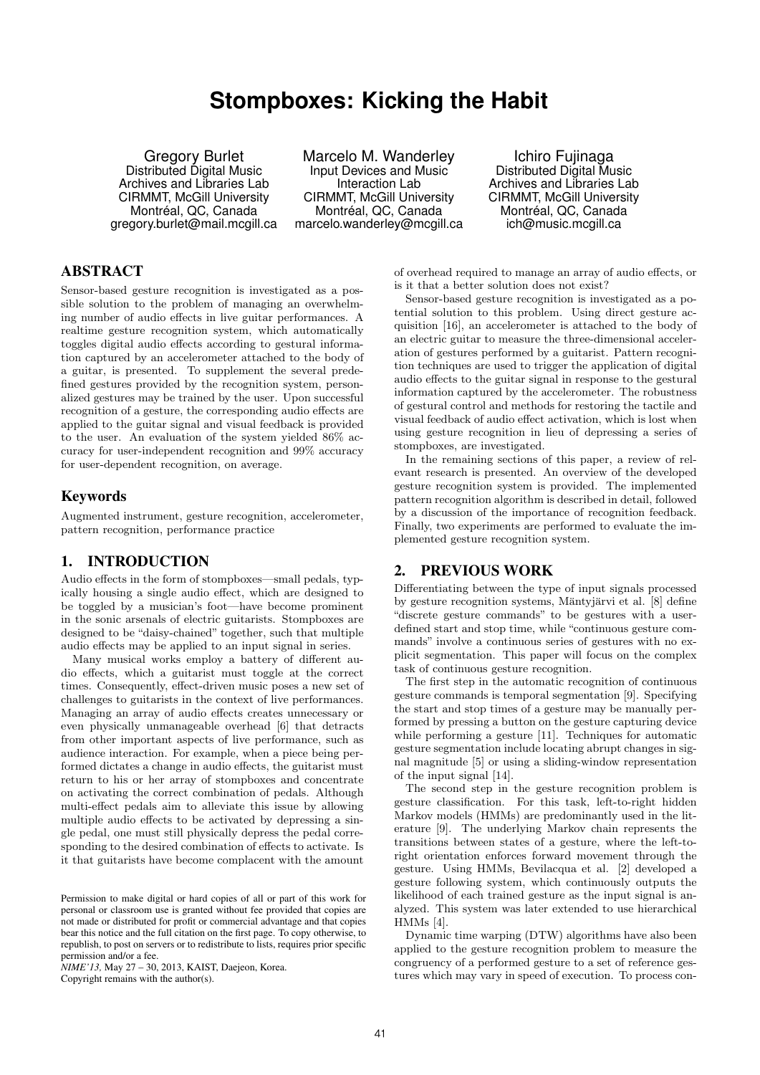# **Stompboxes: Kicking the Habit**

Gregory Burlet Distributed Digital Music Archives and Libraries Lab CIRMMT, McGill University Montréal, QC, Canada gregory.burlet@mail.mcgill.ca

Marcelo M. Wanderley Input Devices and Music Interaction Lab CIRMMT, McGill University Montréal, QC, Canada marcelo.wanderley@mcgill.ca

Ichiro Fujinaga Distributed Digital Music Archives and Libraries Lab CIRMMT, McGill University Montréal, QC, Canada ich@music.mcgill.ca

# ABSTRACT

Sensor-based gesture recognition is investigated as a possible solution to the problem of managing an overwhelming number of audio effects in live guitar performances. A realtime gesture recognition system, which automatically toggles digital audio effects according to gestural information captured by an accelerometer attached to the body of a guitar, is presented. To supplement the several predefined gestures provided by the recognition system, personalized gestures may be trained by the user. Upon successful recognition of a gesture, the corresponding audio effects are applied to the guitar signal and visual feedback is provided to the user. An evaluation of the system yielded 86% accuracy for user-independent recognition and 99% accuracy for user-dependent recognition, on average.

# Keywords

Augmented instrument, gesture recognition, accelerometer, pattern recognition, performance practice

# 1. INTRODUCTION

Audio effects in the form of stompboxes—small pedals, typically housing a single audio effect, which are designed to be toggled by a musician's foot—have become prominent in the sonic arsenals of electric guitarists. Stompboxes are designed to be "daisy-chained" together, such that multiple audio effects may be applied to an input signal in series.

Many musical works employ a battery of different audio effects, which a guitarist must toggle at the correct times. Consequently, effect-driven music poses a new set of challenges to guitarists in the context of live performances. Managing an array of audio effects creates unnecessary or even physically unmanageable overhead [6] that detracts from other important aspects of live performance, such as audience interaction. For example, when a piece being performed dictates a change in audio effects, the guitarist must return to his or her array of stompboxes and concentrate on activating the correct combination of pedals. Although multi-effect pedals aim to alleviate this issue by allowing multiple audio effects to be activated by depressing a single pedal, one must still physically depress the pedal corresponding to the desired combination of effects to activate. Is it that guitarists have become complacent with the amount

*NIME'13,* May 27 – 30, 2013, KAIST, Daejeon, Korea. Copyright remains with the author(s).

of overhead required to manage an array of audio effects, or is it that a better solution does not exist?

Sensor-based gesture recognition is investigated as a potential solution to this problem. Using direct gesture acquisition [16], an accelerometer is attached to the body of an electric guitar to measure the three-dimensional acceleration of gestures performed by a guitarist. Pattern recognition techniques are used to trigger the application of digital audio effects to the guitar signal in response to the gestural information captured by the accelerometer. The robustness of gestural control and methods for restoring the tactile and visual feedback of audio effect activation, which is lost when using gesture recognition in lieu of depressing a series of stompboxes, are investigated.

In the remaining sections of this paper, a review of relevant research is presented. An overview of the developed gesture recognition system is provided. The implemented pattern recognition algorithm is described in detail, followed by a discussion of the importance of recognition feedback. Finally, two experiments are performed to evaluate the implemented gesture recognition system.

# 2. PREVIOUS WORK

Differentiating between the type of input signals processed by gesture recognition systems, Mäntyjärvi et al. [8] define "discrete gesture commands" to be gestures with a userdefined start and stop time, while "continuous gesture commands" involve a continuous series of gestures with no explicit segmentation. This paper will focus on the complex task of continuous gesture recognition.

The first step in the automatic recognition of continuous gesture commands is temporal segmentation [9]. Specifying the start and stop times of a gesture may be manually performed by pressing a button on the gesture capturing device while performing a gesture [11]. Techniques for automatic gesture segmentation include locating abrupt changes in signal magnitude [5] or using a sliding-window representation of the input signal [14].

The second step in the gesture recognition problem is gesture classification. For this task, left-to-right hidden Markov models (HMMs) are predominantly used in the literature [9]. The underlying Markov chain represents the transitions between states of a gesture, where the left-toright orientation enforces forward movement through the gesture. Using HMMs, Bevilacqua et al. [2] developed a gesture following system, which continuously outputs the likelihood of each trained gesture as the input signal is analyzed. This system was later extended to use hierarchical HMMs [4].

Dynamic time warping (DTW) algorithms have also been applied to the gesture recognition problem to measure the congruency of a performed gesture to a set of reference gestures which may vary in speed of execution. To process con-

Permission to make digital or hard copies of all or part of this work for personal or classroom use is granted without fee provided that copies are not made or distributed for profit or commercial advantage and that copies bear this notice and the full citation on the first page. To copy otherwise, to republish, to post on servers or to redistribute to lists, requires prior specific permission and/or a fee.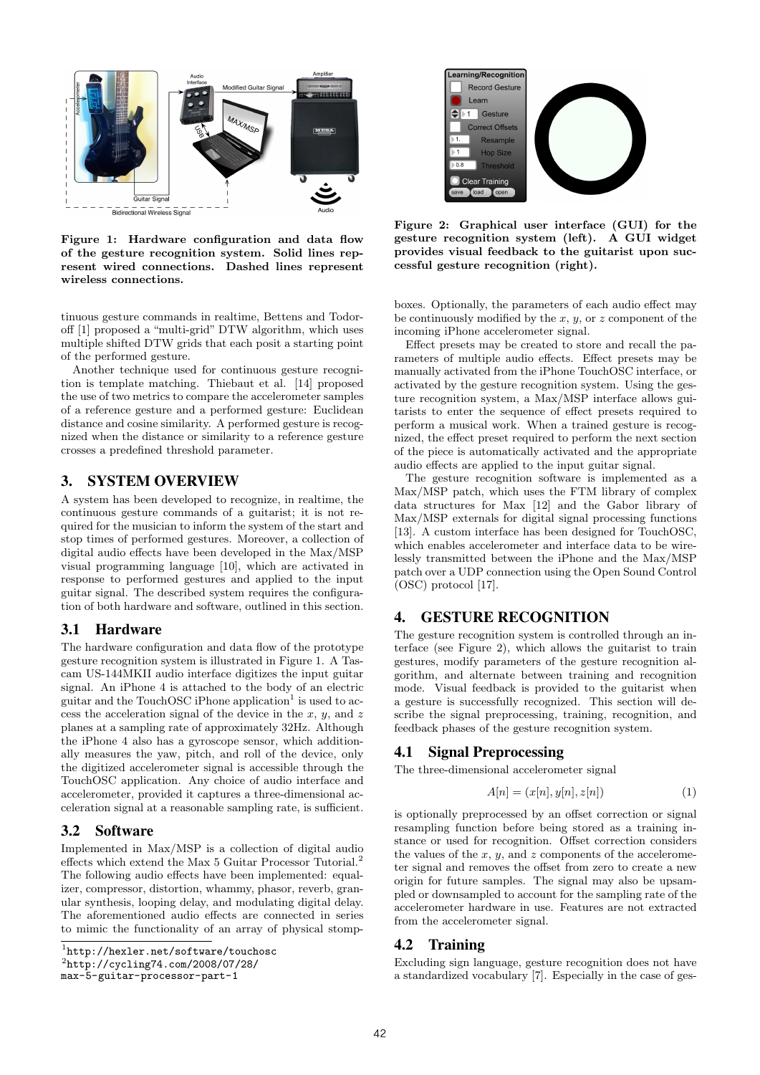

Figure 1: Hardware configuration and data flow of the gesture recognition system. Solid lines represent wired connections. Dashed lines represent wireless connections.

tinuous gesture commands in realtime, Bettens and Todoroff [1] proposed a "multi-grid" DTW algorithm, which uses multiple shifted DTW grids that each posit a starting point of the performed gesture.

Another technique used for continuous gesture recognition is template matching. Thiebaut et al. [14] proposed the use of two metrics to compare the accelerometer samples of a reference gesture and a performed gesture: Euclidean distance and cosine similarity. A performed gesture is recognized when the distance or similarity to a reference gesture crosses a predefined threshold parameter.

# 3. SYSTEM OVERVIEW

A system has been developed to recognize, in realtime, the continuous gesture commands of a guitarist; it is not required for the musician to inform the system of the start and stop times of performed gestures. Moreover, a collection of digital audio effects have been developed in the Max/MSP visual programming language [10], which are activated in response to performed gestures and applied to the input guitar signal. The described system requires the configuration of both hardware and software, outlined in this section.

# 3.1 Hardware

The hardware configuration and data flow of the prototype gesture recognition system is illustrated in Figure 1. A Tascam US-144MKII audio interface digitizes the input guitar signal. An iPhone 4 is attached to the body of an electric guitar and the TouchOSC iPhone application<sup>1</sup> is used to access the acceleration signal of the device in the  $x, y$ , and  $z$ planes at a sampling rate of approximately 32Hz. Although the iPhone 4 also has a gyroscope sensor, which additionally measures the yaw, pitch, and roll of the device, only the digitized accelerometer signal is accessible through the TouchOSC application. Any choice of audio interface and accelerometer, provided it captures a three-dimensional acceleration signal at a reasonable sampling rate, is sufficient.

# 3.2 Software

Implemented in Max/MSP is a collection of digital audio effects which extend the Max 5 Guitar Processor Tutorial.<sup>2</sup> The following audio effects have been implemented: equalizer, compressor, distortion, whammy, phasor, reverb, granular synthesis, looping delay, and modulating digital delay. The aforementioned audio effects are connected in series to mimic the functionality of an array of physical stomp-

2 http://cycling74.com/2008/07/28/

max-5-guitar-processor-part-1



Figure 2: Graphical user interface (GUI) for the gesture recognition system (left). A GUI widget provides visual feedback to the guitarist upon successful gesture recognition (right).

boxes. Optionally, the parameters of each audio effect may be continuously modified by the  $x, y$ , or  $z$  component of the incoming iPhone accelerometer signal.

Effect presets may be created to store and recall the parameters of multiple audio effects. Effect presets may be manually activated from the iPhone TouchOSC interface, or activated by the gesture recognition system. Using the gesture recognition system, a Max/MSP interface allows guitarists to enter the sequence of effect presets required to perform a musical work. When a trained gesture is recognized, the effect preset required to perform the next section of the piece is automatically activated and the appropriate audio effects are applied to the input guitar signal.

The gesture recognition software is implemented as a Max/MSP patch, which uses the FTM library of complex data structures for Max [12] and the Gabor library of Max/MSP externals for digital signal processing functions [13]. A custom interface has been designed for TouchOSC, which enables accelerometer and interface data to be wirelessly transmitted between the iPhone and the Max/MSP patch over a UDP connection using the Open Sound Control (OSC) protocol [17].

# 4. GESTURE RECOGNITION

The gesture recognition system is controlled through an interface (see Figure 2), which allows the guitarist to train gestures, modify parameters of the gesture recognition algorithm, and alternate between training and recognition mode. Visual feedback is provided to the guitarist when a gesture is successfully recognized. This section will describe the signal preprocessing, training, recognition, and feedback phases of the gesture recognition system.

#### 4.1 Signal Preprocessing

The three-dimensional accelerometer signal

$$
A[n] = (x[n], y[n], z[n])
$$
\n(1)

is optionally preprocessed by an offset correction or signal resampling function before being stored as a training instance or used for recognition. Offset correction considers the values of the  $x, y$ , and  $z$  components of the accelerometer signal and removes the offset from zero to create a new origin for future samples. The signal may also be upsampled or downsampled to account for the sampling rate of the accelerometer hardware in use. Features are not extracted from the accelerometer signal.

# 4.2 Training

Excluding sign language, gesture recognition does not have a standardized vocabulary [7]. Especially in the case of ges-

<sup>1</sup> http://hexler.net/software/touchosc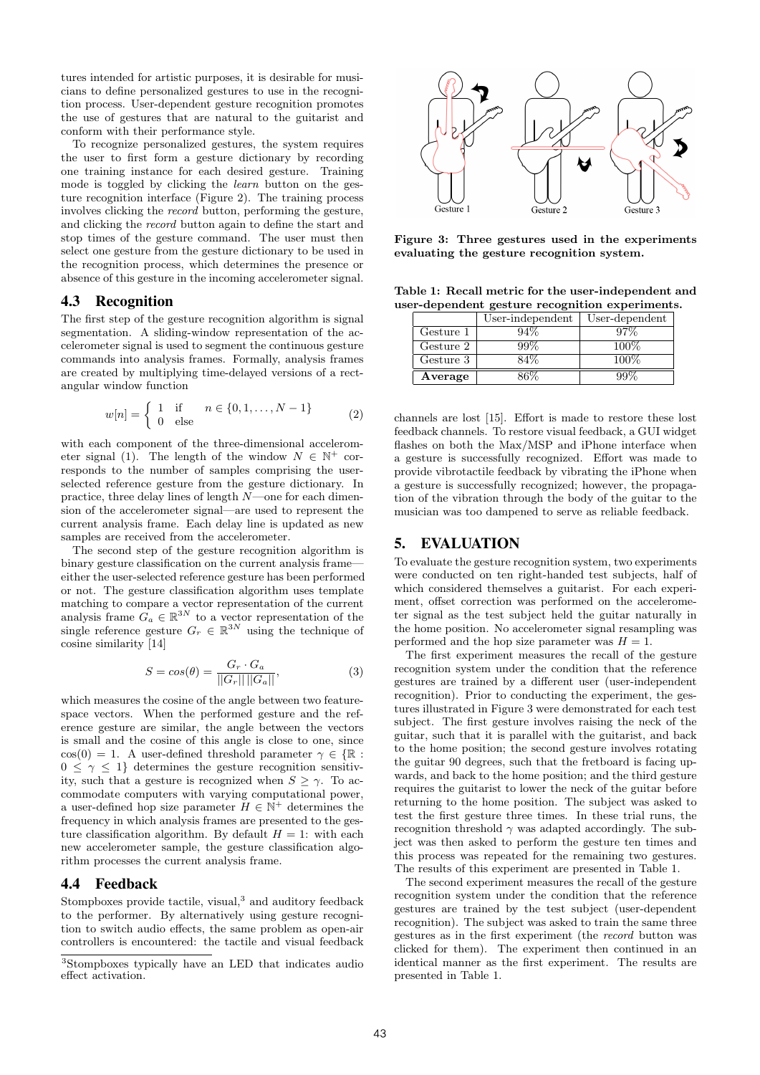tures intended for artistic purposes, it is desirable for musicians to define personalized gestures to use in the recognition process. User-dependent gesture recognition promotes the use of gestures that are natural to the guitarist and conform with their performance style.

To recognize personalized gestures, the system requires the user to first form a gesture dictionary by recording one training instance for each desired gesture. Training mode is toggled by clicking the *learn* button on the gesture recognition interface (Figure 2). The training process involves clicking the record button, performing the gesture, and clicking the record button again to define the start and stop times of the gesture command. The user must then select one gesture from the gesture dictionary to be used in the recognition process, which determines the presence or absence of this gesture in the incoming accelerometer signal.

# 4.3 Recognition

The first step of the gesture recognition algorithm is signal segmentation. A sliding-window representation of the accelerometer signal is used to segment the continuous gesture commands into analysis frames. Formally, analysis frames are created by multiplying time-delayed versions of a rectangular window function

$$
w[n] = \begin{cases} 1 & \text{if } n \in \{0, 1, \dots, N - 1\} \\ 0 & \text{else} \end{cases}
$$
 (2)

with each component of the three-dimensional accelerometer signal (1). The length of the window  $N \in \mathbb{N}^+$  corresponds to the number of samples comprising the userselected reference gesture from the gesture dictionary. In practice, three delay lines of length N—one for each dimension of the accelerometer signal—are used to represent the current analysis frame. Each delay line is updated as new samples are received from the accelerometer.

The second step of the gesture recognition algorithm is binary gesture classification on the current analysis frame either the user-selected reference gesture has been performed or not. The gesture classification algorithm uses template matching to compare a vector representation of the current analysis frame  $\tilde{G}_a \in \mathbb{R}^{3N}$  to a vector representation of the single reference gesture  $G_r \in \mathbb{R}^{3N}$  using the technique of cosine similarity [14]

$$
S = \cos(\theta) = \frac{G_r \cdot G_a}{||G_r|| ||G_a||},
$$
\n(3)

which measures the cosine of the angle between two featurespace vectors. When the performed gesture and the reference gesture are similar, the angle between the vectors is small and the cosine of this angle is close to one, since  $\cos(0) = 1$ . A user-defined threshold parameter  $\gamma \in \{\mathbb{R} :$  $0 \leq \gamma \leq 1$ } determines the gesture recognition sensitivity, such that a gesture is recognized when  $S \geq \gamma$ . To accommodate computers with varying computational power, a user-defined hop size parameter  $H \in \mathbb{N}^+$  determines the frequency in which analysis frames are presented to the gesture classification algorithm. By default  $H = 1$ : with each new accelerometer sample, the gesture classification algorithm processes the current analysis frame.

#### 4.4 Feedback

Stompboxes provide tactile, visual,<sup>3</sup> and auditory feedback to the performer. By alternatively using gesture recognition to switch audio effects, the same problem as open-air controllers is encountered: the tactile and visual feedback



Figure 3: Three gestures used in the experiments evaluating the gesture recognition system.

Table 1: Recall metric for the user-independent and user-dependent gesture recognition experiments.

|           | User-independent | User-dependent |
|-----------|------------------|----------------|
| Gesture 1 | $94\%$           | $97\%$         |
| Gesture 2 | 99%              | $100\%$        |
| Gesture 3 | 84%              | $100\%$        |
| Average   | 36%              | 99%            |

channels are lost [15]. Effort is made to restore these lost feedback channels. To restore visual feedback, a GUI widget flashes on both the Max/MSP and iPhone interface when a gesture is successfully recognized. Effort was made to provide vibrotactile feedback by vibrating the iPhone when a gesture is successfully recognized; however, the propagation of the vibration through the body of the guitar to the musician was too dampened to serve as reliable feedback.

# 5. EVALUATION

To evaluate the gesture recognition system, two experiments were conducted on ten right-handed test subjects, half of which considered themselves a guitarist. For each experiment, offset correction was performed on the accelerometer signal as the test subject held the guitar naturally in the home position. No accelerometer signal resampling was performed and the hop size parameter was  $H = 1$ .

The first experiment measures the recall of the gesture recognition system under the condition that the reference gestures are trained by a different user (user-independent recognition). Prior to conducting the experiment, the gestures illustrated in Figure 3 were demonstrated for each test subject. The first gesture involves raising the neck of the guitar, such that it is parallel with the guitarist, and back to the home position; the second gesture involves rotating the guitar 90 degrees, such that the fretboard is facing upwards, and back to the home position; and the third gesture requires the guitarist to lower the neck of the guitar before returning to the home position. The subject was asked to test the first gesture three times. In these trial runs, the recognition threshold  $\gamma$  was adapted accordingly. The subject was then asked to perform the gesture ten times and this process was repeated for the remaining two gestures. The results of this experiment are presented in Table 1.

The second experiment measures the recall of the gesture recognition system under the condition that the reference gestures are trained by the test subject (user-dependent recognition). The subject was asked to train the same three gestures as in the first experiment (the record button was clicked for them). The experiment then continued in an identical manner as the first experiment. The results are presented in Table 1.

<sup>3</sup>Stompboxes typically have an LED that indicates audio effect activation.